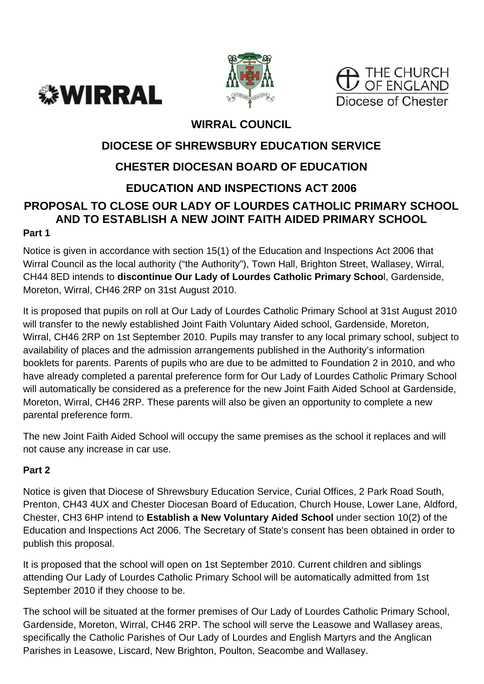





# **WIRRAL COUNCIL**

# **DIOCESE OF SHREWSBURY EDUCATION SERVICE CHESTER DIOCESAN BOARD OF EDUCATION EDUCATION AND INSPECTIONS ACT 2006 PROPOSAL TO CLOSE OUR LADY OF LOURDES CATHOLIC PRIMARY SCHOOL AND TO ESTABLISH A NEW JOINT FAITH AIDED PRIMARY SCHOOL Part 1**

Notice is given in accordance with section 15(1) of the Education and Inspections Act 2006 that Wirral Council as the local authority ("the Authority"), Town Hall, Brighton Street, Wallasey, Wirral, CH44 8ED intends to **discontinue Our Lady of Lourdes Catholic Primary Schoo**l, Gardenside, Moreton, Wirral, CH46 2RP on 31st August 2010.

It is proposed that pupils on roll at Our Lady of Lourdes Catholic Primary School at 31st August 2010 will transfer to the newly established Joint Faith Voluntary Aided school, Gardenside, Moreton, Wirral, CH46 2RP on 1st September 2010. Pupils may transfer to any local primary school, subject to availability of places and the admission arrangements published in the Authority's information booklets for parents. Parents of pupils who are due to be admitted to Foundation 2 in 2010, and who have already completed a parental preference form for Our Lady of Lourdes Catholic Primary School will automatically be considered as a preference for the new Joint Faith Aided School at Gardenside, Moreton, Wirral, CH46 2RP. These parents will also be given an opportunity to complete a new parental preference form.

The new Joint Faith Aided School will occupy the same premises as the school it replaces and will not cause any increase in car use.

## **Part 2**

Notice is given that Diocese of Shrewsbury Education Service, Curial Offices, 2 Park Road South, Prenton, CH43 4UX and Chester Diocesan Board of Education, Church House, Lower Lane, Aldford, Chester, CH3 6HP intend to **Establish a New Voluntary Aided School** under section 10(2) of the Education and Inspections Act 2006. The Secretary of State's consent has been obtained in order to publish this proposal.

It is proposed that the school will open on 1st September 2010. Current children and siblings attending Our Lady of Lourdes Catholic Primary School will be automatically admitted from 1st September 2010 if they choose to be.

The school will be situated at the former premises of Our Lady of Lourdes Catholic Primary School, Gardenside, Moreton, Wirral, CH46 2RP. The school will serve the Leasowe and Wallasey areas, specifically the Catholic Parishes of Our Lady of Lourdes and English Martyrs and the Anglican Parishes in Leasowe, Liscard, New Brighton, Poulton, Seacombe and Wallasey.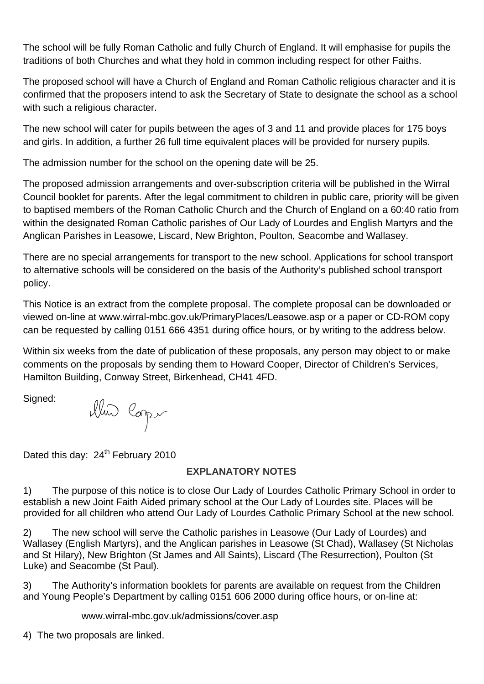The school will be fully Roman Catholic and fully Church of England. It will emphasise for pupils the traditions of both Churches and what they hold in common including respect for other Faiths.

The proposed school will have a Church of England and Roman Catholic religious character and it is confirmed that the proposers intend to ask the Secretary of State to designate the school as a school with such a religious character.

The new school will cater for pupils between the ages of 3 and 11 and provide places for 175 boys and girls. In addition, a further 26 full time equivalent places will be provided for nursery pupils.

The admission number for the school on the opening date will be 25.

The proposed admission arrangements and over-subscription criteria will be published in the Wirral Council booklet for parents. After the legal commitment to children in public care, priority will be given to baptised members of the Roman Catholic Church and the Church of England on a 60:40 ratio from within the designated Roman Catholic parishes of Our Lady of Lourdes and English Martyrs and the Anglican Parishes in Leasowe, Liscard, New Brighton, Poulton, Seacombe and Wallasey.

There are no special arrangements for transport to the new school. Applications for school transport to alternative schools will be considered on the basis of the Authority's published school transport policy.

This Notice is an extract from the complete proposal. The complete proposal can be downloaded or viewed on-line at www.wirral-mbc.gov.uk/PrimaryPlaces/Leasowe.asp or a paper or CD-ROM copy can be requested by calling 0151 666 4351 during office hours, or by writing to the address below.

Within six weeks from the date of publication of these proposals, any person may object to or make comments on the proposals by sending them to Howard Cooper, Director of Children's Services, Hamilton Building, Conway Street, Birkenhead, CH41 4FD.

Signed:

illus Coper

Dated this day: 24<sup>th</sup> February 2010

### **EXPLANATORY NOTES**

1) The purpose of this notice is to close Our Lady of Lourdes Catholic Primary School in order to establish a new Joint Faith Aided primary school at the Our Lady of Lourdes site. Places will be provided for all children who attend Our Lady of Lourdes Catholic Primary School at the new school.

2) The new school will serve the Catholic parishes in Leasowe (Our Lady of Lourdes) and Wallasey (English Martyrs), and the Anglican parishes in Leasowe (St Chad), Wallasey (St Nicholas and St Hilary), New Brighton (St James and All Saints), Liscard (The Resurrection), Poulton (St Luke) and Seacombe (St Paul).

3) The Authority's information booklets for parents are available on request from the Children and Young People's Department by calling 0151 606 2000 during office hours, or on-line at:

www.wirral-mbc.gov.uk/admissions/cover.asp

4) The two proposals are linked.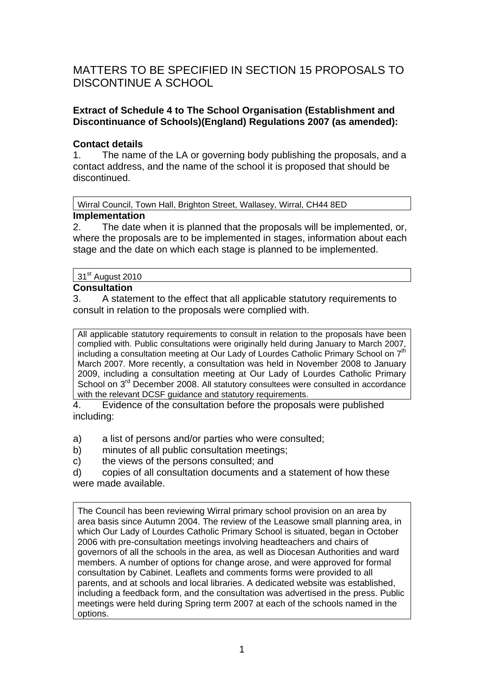# MATTERS TO BE SPECIFIED IN SECTION 15 PROPOSALS TO DISCONTINUE A SCHOOL

### **Extract of Schedule 4 to The School Organisation (Establishment and Discontinuance of Schools)(England) Regulations 2007 (as amended):**

### **Contact details**

1. The name of the LA or governing body publishing the proposals, and a contact address, and the name of the school it is proposed that should be discontinued.

Wirral Council, Town Hall, Brighton Street, Wallasey, Wirral, CH44 8ED

### **Implementation**

2. The date when it is planned that the proposals will be implemented, or, where the proposals are to be implemented in stages, information about each stage and the date on which each stage is planned to be implemented.

#### 31<sup>st</sup> August 2010

### **Consultation**

3. A statement to the effect that all applicable statutory requirements to consult in relation to the proposals were complied with.

All applicable statutory requirements to consult in relation to the proposals have been complied with. Public consultations were originally held during January to March 2007, including a consultation meeting at Our Lady of Lourdes Catholic Primary School on 7<sup>th</sup> March 2007. More recently, a consultation was held in November 2008 to January 2009, including a consultation meeting at Our Lady of Lourdes Catholic Primary School on  $3<sup>rd</sup>$  December 2008. All statutory consultees were consulted in accordance with the relevant DCSF guidance and statutory requirements.

4. Evidence of the consultation before the proposals were published including:

a) a list of persons and/or parties who were consulted;

- b) minutes of all public consultation meetings;
- c) the views of the persons consulted; and

d) copies of all consultation documents and a statement of how these were made available.

The Council has been reviewing Wirral primary school provision on an area by area basis since Autumn 2004. The review of the Leasowe small planning area, in which Our Lady of Lourdes Catholic Primary School is situated, began in October 2006 with pre-consultation meetings involving headteachers and chairs of governors of all the schools in the area, as well as Diocesan Authorities and ward members. A number of options for change arose, and were approved for formal consultation by Cabinet. Leaflets and comments forms were provided to all parents, and at schools and local libraries. A dedicated website was established, including a feedback form, and the consultation was advertised in the press. Public meetings were held during Spring term 2007 at each of the schools named in the options.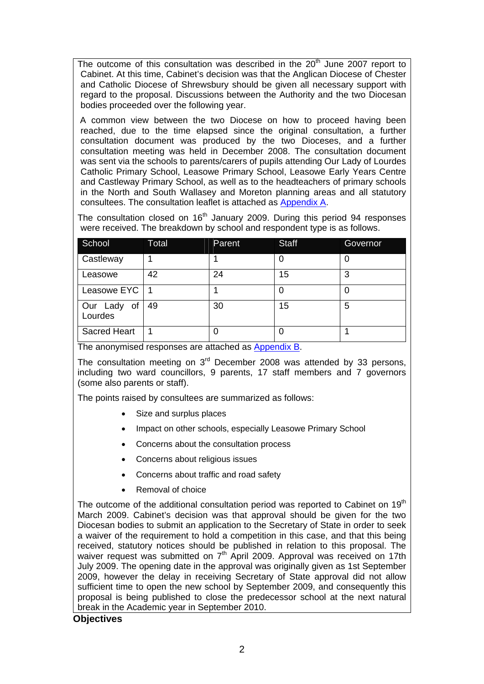The outcome of this consultation was described in the  $20<sup>th</sup>$  June 2007 report to Cabinet. At this time, Cabinet's decision was that the Anglican Diocese of Chester and Catholic Diocese of Shrewsbury should be given all necessary support with regard to the proposal. Discussions between the Authority and the two Diocesan bodies proceeded over the following year.

 A common view between the two Diocese on how to proceed having been reached, due to the time elapsed since the original consultation, a further consultation document was produced by the two Dioceses, and a further consultation meeting was held in December 2008. The consultation document was sent via the schools to parents/carers of pupils attending Our Lady of Lourdes Catholic Primary School, Leasowe Primary School, Leasowe Early Years Centre and Castleway Primary School, as well as to the headteachers of primary schools in the North and South Wallasey and Moreton planning areas and all statutory consultees. The consultation leaflet is attached as Appendix A.

The consultation closed on  $16<sup>th</sup>$  January 2009. During this period 94 responses were received. The breakdown by school and respondent type is as follows.

| School                    | Total | Parent | <b>Staff</b> | Governor |
|---------------------------|-------|--------|--------------|----------|
| Castleway                 |       |        | 0            |          |
| Leasowe                   | 42    | 24     | 15           | 3        |
| Leasowe EYC               |       |        | 0            |          |
| Our Lady<br>Οt<br>Lourdes | 49    | 30     | 15           | 5        |
| <b>Sacred Heart</b>       |       |        | 0            |          |

The anonymised responses are attached as Appendix B.

The consultation meeting on  $3<sup>rd</sup>$  December 2008 was attended by 33 persons, including two ward councillors, 9 parents, 17 staff members and 7 governors (some also parents or staff).

The points raised by consultees are summarized as follows:

- Size and surplus places
- Impact on other schools, especially Leasowe Primary School
- Concerns about the consultation process
- Concerns about religious issues
- Concerns about traffic and road safety
- Removal of choice

The outcome of the additional consultation period was reported to Cabinet on  $19<sup>th</sup>$ March 2009. Cabinet's decision was that approval should be given for the two Diocesan bodies to submit an application to the Secretary of State in order to seek a waiver of the requirement to hold a competition in this case, and that this being received, statutory notices should be published in relation to this proposal. The waiver request was submitted on 7<sup>th</sup> April 2009. Approval was received on 17th July 2009. The opening date in the approval was originally given as 1st September 2009, however the delay in receiving Secretary of State approval did not allow sufficient time to open the new school by September 2009, and consequently this proposal is being published to close the predecessor school at the next natural break in the Academic year in September 2010.

#### **Objectives**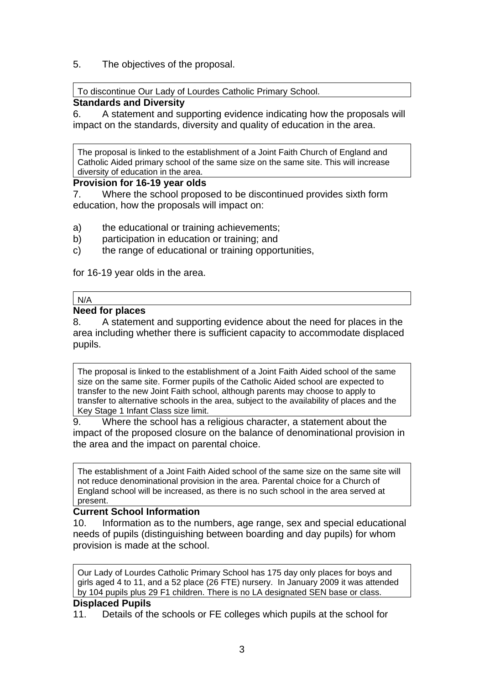5. The objectives of the proposal.

To discontinue Our Lady of Lourdes Catholic Primary School.

### **Standards and Diversity**

6. A statement and supporting evidence indicating how the proposals will impact on the standards, diversity and quality of education in the area.

The proposal is linked to the establishment of a Joint Faith Church of England and Catholic Aided primary school of the same size on the same site. This will increase diversity of education in the area.

### **Provision for 16-19 year olds**

7. Where the school proposed to be discontinued provides sixth form education, how the proposals will impact on:

- a) the educational or training achievements;
- b) participation in education or training; and
- c) the range of educational or training opportunities,

for 16-19 year olds in the area.

### N/A

#### **Need for places**

8. A statement and supporting evidence about the need for places in the area including whether there is sufficient capacity to accommodate displaced pupils.

The proposal is linked to the establishment of a Joint Faith Aided school of the same size on the same site. Former pupils of the Catholic Aided school are expected to transfer to the new Joint Faith school, although parents may choose to apply to transfer to alternative schools in the area, subject to the availability of places and the Key Stage 1 Infant Class size limit.

9. Where the school has a religious character, a statement about the impact of the proposed closure on the balance of denominational provision in the area and the impact on parental choice.

The establishment of a Joint Faith Aided school of the same size on the same site will not reduce denominational provision in the area. Parental choice for a Church of England school will be increased, as there is no such school in the area served at present.

### **Current School Information**

10. Information as to the numbers, age range, sex and special educational needs of pupils (distinguishing between boarding and day pupils) for whom provision is made at the school.

Our Lady of Lourdes Catholic Primary School has 175 day only places for boys and girls aged 4 to 11, and a 52 place (26 FTE) nursery. In January 2009 it was attended by 104 pupils plus 29 F1 children. There is no LA designated SEN base or class.

### **Displaced Pupils**

11. Details of the schools or FE colleges which pupils at the school for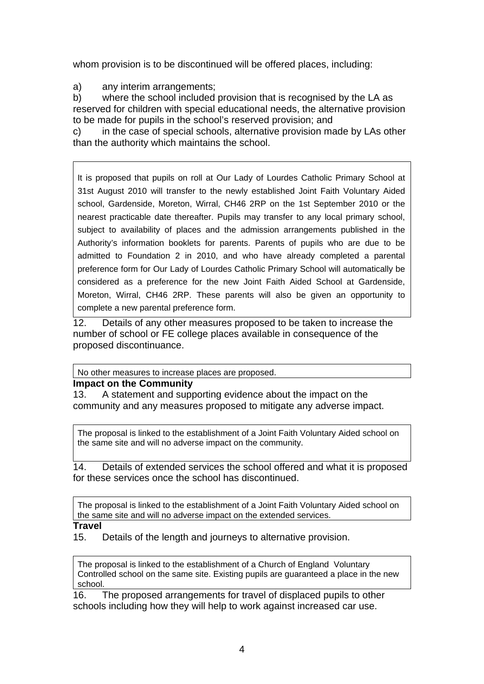whom provision is to be discontinued will be offered places, including:

a) any interim arrangements;

b) where the school included provision that is recognised by the LA as reserved for children with special educational needs, the alternative provision to be made for pupils in the school's reserved provision; and

c) in the case of special schools, alternative provision made by LAs other than the authority which maintains the school.

It is proposed that pupils on roll at Our Lady of Lourdes Catholic Primary School at 31st August 2010 will transfer to the newly established Joint Faith Voluntary Aided school, Gardenside, Moreton, Wirral, CH46 2RP on the 1st September 2010 or the nearest practicable date thereafter. Pupils may transfer to any local primary school, subject to availability of places and the admission arrangements published in the Authority's information booklets for parents. Parents of pupils who are due to be admitted to Foundation 2 in 2010, and who have already completed a parental preference form for Our Lady of Lourdes Catholic Primary School will automatically be considered as a preference for the new Joint Faith Aided School at Gardenside, Moreton, Wirral, CH46 2RP. These parents will also be given an opportunity to complete a new parental preference form.

12. Details of any other measures proposed to be taken to increase the number of school or FE college places available in consequence of the proposed discontinuance.

No other measures to increase places are proposed.

### **Impact on the Community**

13. A statement and supporting evidence about the impact on the community and any measures proposed to mitigate any adverse impact.

The proposal is linked to the establishment of a Joint Faith Voluntary Aided school on the same site and will no adverse impact on the community.

14. Details of extended services the school offered and what it is proposed for these services once the school has discontinued.

The proposal is linked to the establishment of a Joint Faith Voluntary Aided school on the same site and will no adverse impact on the extended services.

### **Travel**

15. Details of the length and journeys to alternative provision.

The proposal is linked to the establishment of a Church of England Voluntary Controlled school on the same site. Existing pupils are guaranteed a place in the new school.

16. The proposed arrangements for travel of displaced pupils to other schools including how they will help to work against increased car use.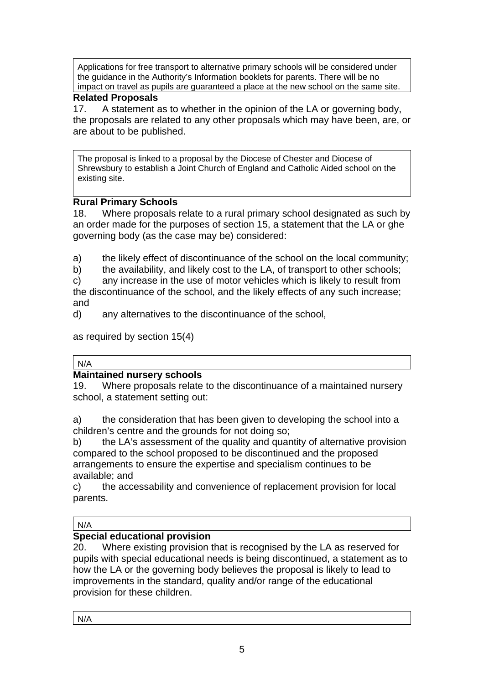Applications for free transport to alternative primary schools will be considered under the guidance in the Authority's Information booklets for parents. There will be no impact on travel as pupils are guaranteed a place at the new school on the same site.

### **Related Proposals**

17. A statement as to whether in the opinion of the LA or governing body, the proposals are related to any other proposals which may have been, are, or are about to be published.

The proposal is linked to a proposal by the Diocese of Chester and Diocese of Shrewsbury to establish a Joint Church of England and Catholic Aided school on the existing site.

### **Rural Primary Schools**

18. Where proposals relate to a rural primary school designated as such by an order made for the purposes of section 15, a statement that the LA or ghe governing body (as the case may be) considered:

- a) the likely effect of discontinuance of the school on the local community;
- b) the availability, and likely cost to the LA, of transport to other schools;
- c) any increase in the use of motor vehicles which is likely to result from
- the discontinuance of the school, and the likely effects of any such increase; and

d) any alternatives to the discontinuance of the school,

as required by section 15(4)

### N/A

### **Maintained nursery schools**

19. Where proposals relate to the discontinuance of a maintained nursery school, a statement setting out:

a) the consideration that has been given to developing the school into a children's centre and the grounds for not doing so;

b) the LA's assessment of the quality and quantity of alternative provision compared to the school proposed to be discontinued and the proposed arrangements to ensure the expertise and specialism continues to be available; and

c) the accessability and convenience of replacement provision for local parents.

### N/A

### **Special educational provision**

20. Where existing provision that is recognised by the LA as reserved for pupils with special educational needs is being discontinued, a statement as to how the LA or the governing body believes the proposal is likely to lead to improvements in the standard, quality and/or range of the educational provision for these children.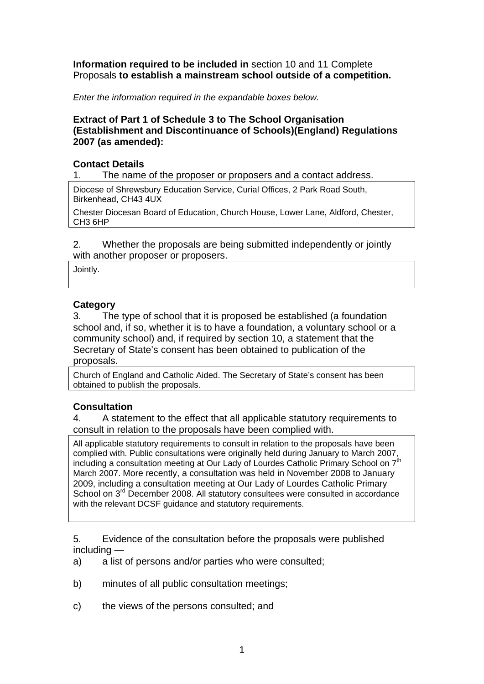### **Information required to be included in** section 10 and 11 Complete Proposals **to establish a mainstream school outside of a competition.**

*Enter the information required in the expandable boxes below.* 

### **Extract of Part 1 of Schedule 3 to The School Organisation (Establishment and Discontinuance of Schools)(England) Regulations 2007 (as amended):**

### **Contact Details**

1. The name of the proposer or proposers and a contact address.

Diocese of Shrewsbury Education Service, Curial Offices, 2 Park Road South, Birkenhead, CH43 4UX

Chester Diocesan Board of Education, Church House, Lower Lane, Aldford, Chester, CH3 6HP

2. Whether the proposals are being submitted independently or jointly with another proposer or proposers.

Jointly.

### **Category**

3. The type of school that it is proposed be established (a foundation school and, if so, whether it is to have a foundation, a voluntary school or a community school) and, if required by section 10, a statement that the Secretary of State's consent has been obtained to publication of the proposals.

Church of England and Catholic Aided. The Secretary of State's consent has been obtained to publish the proposals.

### **Consultation**

4. A statement to the effect that all applicable statutory requirements to consult in relation to the proposals have been complied with.

All applicable statutory requirements to consult in relation to the proposals have been complied with. Public consultations were originally held during January to March 2007, including a consultation meeting at Our Lady of Lourdes Catholic Primary School on 7<sup>th</sup> March 2007. More recently, a consultation was held in November 2008 to January 2009, including a consultation meeting at Our Lady of Lourdes Catholic Primary School on 3<sup>rd</sup> December 2008. All statutory consultees were consulted in accordance with the relevant DCSF guidance and statutory requirements.

5. Evidence of the consultation before the proposals were published including —

- a) a list of persons and/or parties who were consulted;
- b) minutes of all public consultation meetings;
- c) the views of the persons consulted; and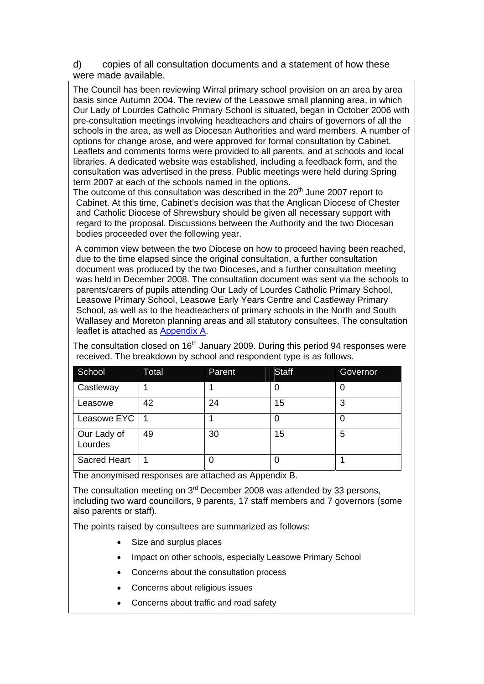#### d) copies of all consultation documents and a statement of how these were made available.

The Council has been reviewing Wirral primary school provision on an area by area basis since Autumn 2004. The review of the Leasowe small planning area, in which Our Lady of Lourdes Catholic Primary School is situated, began in October 2006 with pre-consultation meetings involving headteachers and chairs of governors of all the schools in the area, as well as Diocesan Authorities and ward members. A number of options for change arose, and were approved for formal consultation by Cabinet. Leaflets and comments forms were provided to all parents, and at schools and local libraries. A dedicated website was established, including a feedback form, and the consultation was advertised in the press. Public meetings were held during Spring term 2007 at each of the schools named in the options.

The outcome of this consultation was described in the  $20<sup>th</sup>$  June 2007 report to Cabinet. At this time, Cabinet's decision was that the Anglican Diocese of Chester and Catholic Diocese of Shrewsbury should be given all necessary support with regard to the proposal. Discussions between the Authority and the two Diocesan bodies proceeded over the following year.

 A common view between the two Diocese on how to proceed having been reached, due to the time elapsed since the original consultation, a further consultation document was produced by the two Dioceses, and a further consultation meeting was held in December 2008. The consultation document was sent via the schools to parents/carers of pupils attending Our Lady of Lourdes Catholic Primary School, Leasowe Primary School, Leasowe Early Years Centre and Castleway Primary School, as well as to the headteachers of primary schools in the North and South Wallasey and Moreton planning areas and all statutory consultees. The consultation leaflet is attached as Appendix A.

| School                 | Total | Parent | <b>Staff</b> | Governor |
|------------------------|-------|--------|--------------|----------|
| Castleway              |       |        |              |          |
| Leasowe                | 42    | 24     | 15           | 3        |
| Leasowe EYC            | 1     |        |              |          |
| Our Lady of<br>Lourdes | 49    | 30     | 15           | 5        |
| Sacred Heart           | 1     |        |              |          |

The consultation closed on 16<sup>th</sup> January 2009. During this period 94 responses were received. The breakdown by school and respondent type is as follows.

The anonymised responses are attached as Appendix B.

The consultation meeting on  $3<sup>rd</sup>$  December 2008 was attended by 33 persons, including two ward councillors, 9 parents, 17 staff members and 7 governors (some also parents or staff).

The points raised by consultees are summarized as follows:

- Size and surplus places
- Impact on other schools, especially Leasowe Primary School
- Concerns about the consultation process
- Concerns about religious issues
- Concerns about traffic and road safety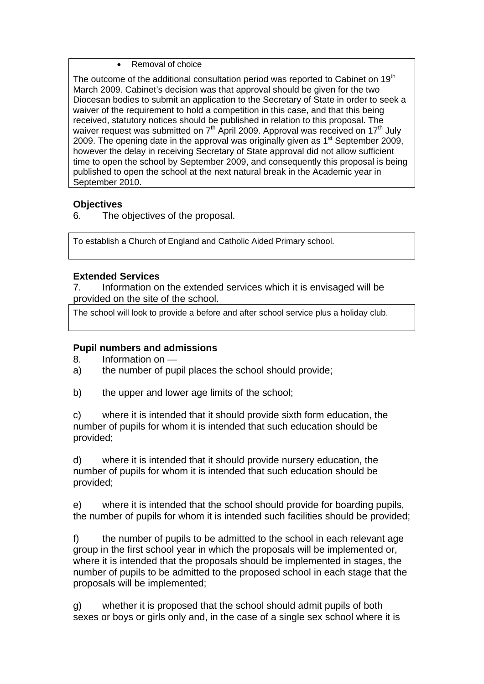#### Removal of choice

The outcome of the additional consultation period was reported to Cabinet on 19 $<sup>th</sup>$ </sup> March 2009. Cabinet's decision was that approval should be given for the two Diocesan bodies to submit an application to the Secretary of State in order to seek a waiver of the requirement to hold a competition in this case, and that this being received, statutory notices should be published in relation to this proposal. The waiver request was submitted on  $7<sup>th</sup>$  April 2009. Approval was received on 17<sup>th</sup> July 2009. The opening date in the approval was originally given as  $1<sup>st</sup>$  September 2009, however the delay in receiving Secretary of State approval did not allow sufficient time to open the school by September 2009, and consequently this proposal is being published to open the school at the next natural break in the Academic year in September 2010.

### **Objectives**

6. The objectives of the proposal.

To establish a Church of England and Catholic Aided Primary school.

#### **Extended Services**

7. Information on the extended services which it is envisaged will be provided on the site of the school.

The school will look to provide a before and after school service plus a holiday club.

### **Pupil numbers and admissions**

8. Information on —

a) the number of pupil places the school should provide;

b) the upper and lower age limits of the school;

c) where it is intended that it should provide sixth form education, the number of pupils for whom it is intended that such education should be provided;

d) where it is intended that it should provide nursery education, the number of pupils for whom it is intended that such education should be provided;

e) where it is intended that the school should provide for boarding pupils, the number of pupils for whom it is intended such facilities should be provided;

f) the number of pupils to be admitted to the school in each relevant age group in the first school year in which the proposals will be implemented or, where it is intended that the proposals should be implemented in stages, the number of pupils to be admitted to the proposed school in each stage that the proposals will be implemented;

g) whether it is proposed that the school should admit pupils of both sexes or boys or girls only and, in the case of a single sex school where it is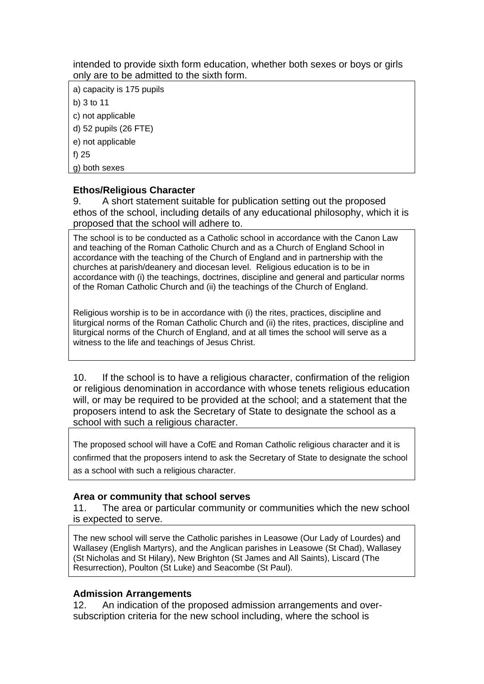intended to provide sixth form education, whether both sexes or boys or girls only are to be admitted to the sixth form.

a) capacity is 175 pupils b) 3 to 11 c) not applicable d) 52 pupils (26 FTE) e) not applicable f) 25 g) both sexes

#### **Ethos/Religious Character**

9. A short statement suitable for publication setting out the proposed ethos of the school, including details of any educational philosophy, which it is proposed that the school will adhere to.

The school is to be conducted as a Catholic school in accordance with the Canon Law and teaching of the Roman Catholic Church and as a Church of England School in accordance with the teaching of the Church of England and in partnership with the churches at parish/deanery and diocesan level. Religious education is to be in accordance with (i) the teachings, doctrines, discipline and general and particular norms of the Roman Catholic Church and (ii) the teachings of the Church of England.

Religious worship is to be in accordance with (i) the rites, practices, discipline and liturgical norms of the Roman Catholic Church and (ii) the rites, practices, discipline and liturgical norms of the Church of England, and at all times the school will serve as a witness to the life and teachings of Jesus Christ.

10. If the school is to have a religious character, confirmation of the religion or religious denomination in accordance with whose tenets religious education will, or may be required to be provided at the school; and a statement that the proposers intend to ask the Secretary of State to designate the school as a school with such a religious character.

The proposed school will have a CofE and Roman Catholic religious character and it is confirmed that the proposers intend to ask the Secretary of State to designate the school as a school with such a religious character.

#### **Area or community that school serves**

11. The area or particular community or communities which the new school is expected to serve.

The new school will serve the Catholic parishes in Leasowe (Our Lady of Lourdes) and Wallasey (English Martyrs), and the Anglican parishes in Leasowe (St Chad), Wallasey (St Nicholas and St Hilary), New Brighton (St James and All Saints), Liscard (The Resurrection), Poulton (St Luke) and Seacombe (St Paul).

#### **Admission Arrangements**

12. An indication of the proposed admission arrangements and oversubscription criteria for the new school including, where the school is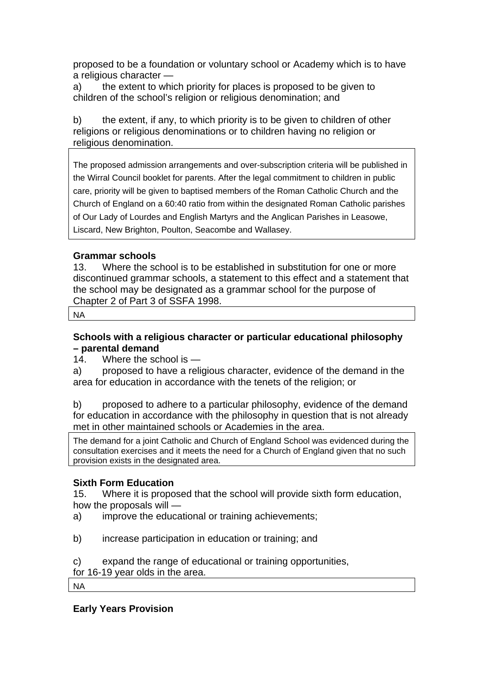proposed to be a foundation or voluntary school or Academy which is to have a religious character —

a) the extent to which priority for places is proposed to be given to children of the school's religion or religious denomination; and

b) the extent, if any, to which priority is to be given to children of other religions or religious denominations or to children having no religion or religious denomination.

The proposed admission arrangements and over-subscription criteria will be published in the Wirral Council booklet for parents. After the legal commitment to children in public care, priority will be given to baptised members of the Roman Catholic Church and the Church of England on a 60:40 ratio from within the designated Roman Catholic parishes of Our Lady of Lourdes and English Martyrs and the Anglican Parishes in Leasowe, Liscard, New Brighton, Poulton, Seacombe and Wallasey.

### **Grammar schools**

13. Where the school is to be established in substitution for one or more discontinued grammar schools, a statement to this effect and a statement that the school may be designated as a grammar school for the purpose of Chapter 2 of Part 3 of SSFA 1998.

NA

### **Schools with a religious character or particular educational philosophy – parental demand**

14. Where the school is —

a) proposed to have a religious character, evidence of the demand in the area for education in accordance with the tenets of the religion; or

b) proposed to adhere to a particular philosophy, evidence of the demand for education in accordance with the philosophy in question that is not already met in other maintained schools or Academies in the area.

The demand for a joint Catholic and Church of England School was evidenced during the consultation exercises and it meets the need for a Church of England given that no such provision exists in the designated area.

### **Sixth Form Education**

15. Where it is proposed that the school will provide sixth form education, how the proposals will —

- a) improve the educational or training achievements;
- b) increase participation in education or training; and
- c) expand the range of educational or training opportunities,

for 16-19 year olds in the area.

NA

**Early Years Provision**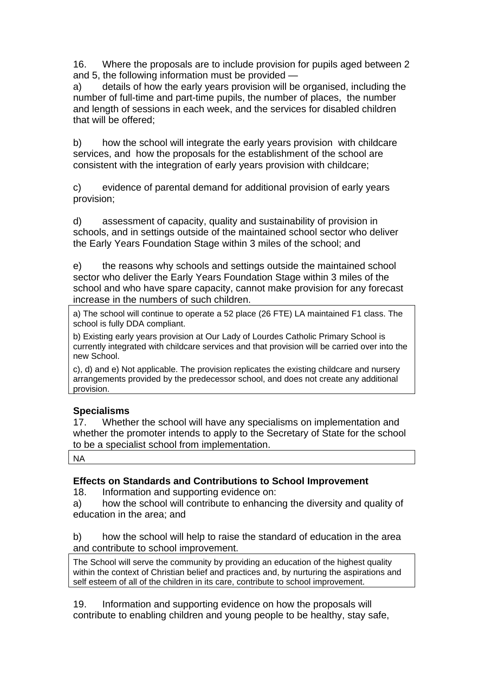16. Where the proposals are to include provision for pupils aged between 2 and 5, the following information must be provided —

a) details of how the early years provision will be organised, including the number of full-time and part-time pupils, the number of places, the number and length of sessions in each week, and the services for disabled children that will be offered;

b) how the school will integrate the early years provision with childcare services, and how the proposals for the establishment of the school are consistent with the integration of early years provision with childcare;

c) evidence of parental demand for additional provision of early years provision;

d) assessment of capacity, quality and sustainability of provision in schools, and in settings outside of the maintained school sector who deliver the Early Years Foundation Stage within 3 miles of the school; and

e) the reasons why schools and settings outside the maintained school sector who deliver the Early Years Foundation Stage within 3 miles of the school and who have spare capacity, cannot make provision for any forecast increase in the numbers of such children.

a) The school will continue to operate a 52 place (26 FTE) LA maintained F1 class. The school is fully DDA compliant.

b) Existing early years provision at Our Lady of Lourdes Catholic Primary School is currently integrated with childcare services and that provision will be carried over into the new School.

c), d) and e) Not applicable. The provision replicates the existing childcare and nursery arrangements provided by the predecessor school, and does not create any additional provision.

### **Specialisms**

17. Whether the school will have any specialisms on implementation and whether the promoter intends to apply to the Secretary of State for the school to be a specialist school from implementation.

NA

### **Effects on Standards and Contributions to School Improvement**

18. Information and supporting evidence on:

a) how the school will contribute to enhancing the diversity and quality of education in the area; and

b) how the school will help to raise the standard of education in the area and contribute to school improvement.

The School will serve the community by providing an education of the highest quality within the context of Christian belief and practices and, by nurturing the aspirations and self esteem of all of the children in its care, contribute to school improvement.

19. Information and supporting evidence on how the proposals will contribute to enabling children and young people to be healthy, stay safe,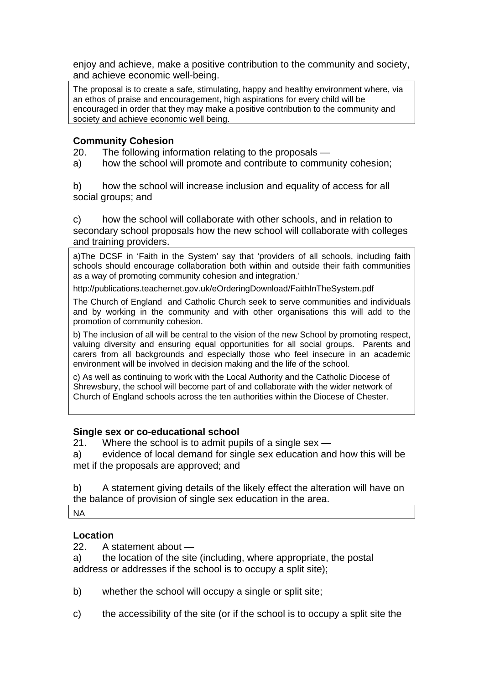enjoy and achieve, make a positive contribution to the community and society, and achieve economic well-being.

The proposal is to create a safe, stimulating, happy and healthy environment where, via an ethos of praise and encouragement, high aspirations for every child will be encouraged in order that they may make a positive contribution to the community and society and achieve economic well being.

### **Community Cohesion**

20. The following information relating to the proposals —

a) how the school will promote and contribute to community cohesion;

b) how the school will increase inclusion and equality of access for all social groups; and

c) how the school will collaborate with other schools, and in relation to secondary school proposals how the new school will collaborate with colleges and training providers.

a)The DCSF in 'Faith in the System' say that 'providers of all schools, including faith schools should encourage collaboration both within and outside their faith communities as a way of promoting community cohesion and integration.'

http://publications.teachernet.gov.uk/eOrderingDownload/FaithInTheSystem.pdf

The Church of England and Catholic Church seek to serve communities and individuals and by working in the community and with other organisations this will add to the promotion of community cohesion.

b) The inclusion of all will be central to the vision of the new School by promoting respect, valuing diversity and ensuring equal opportunities for all social groups. Parents and carers from all backgrounds and especially those who feel insecure in an academic environment will be involved in decision making and the life of the school.

c) As well as continuing to work with the Local Authority and the Catholic Diocese of Shrewsbury, the school will become part of and collaborate with the wider network of Church of England schools across the ten authorities within the Diocese of Chester.

### **Single sex or co-educational school**

21. Where the school is to admit pupils of a single sex —

a) evidence of local demand for single sex education and how this will be met if the proposals are approved; and

b) A statement giving details of the likely effect the alteration will have on the balance of provision of single sex education in the area.

NA

### **Location**

22. A statement about —

a) the location of the site (including, where appropriate, the postal address or addresses if the school is to occupy a split site);

- b) whether the school will occupy a single or split site;
- c) the accessibility of the site (or if the school is to occupy a split site the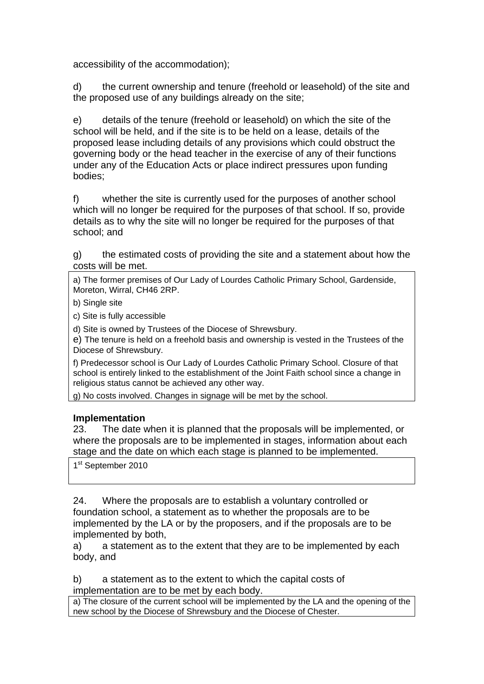accessibility of the accommodation);

d) the current ownership and tenure (freehold or leasehold) of the site and the proposed use of any buildings already on the site;

e) details of the tenure (freehold or leasehold) on which the site of the school will be held, and if the site is to be held on a lease, details of the proposed lease including details of any provisions which could obstruct the governing body or the head teacher in the exercise of any of their functions under any of the Education Acts or place indirect pressures upon funding bodies;

f) whether the site is currently used for the purposes of another school which will no longer be required for the purposes of that school. If so, provide details as to why the site will no longer be required for the purposes of that school; and

g) the estimated costs of providing the site and a statement about how the costs will be met.

a) The former premises of Our Lady of Lourdes Catholic Primary School, Gardenside, Moreton, Wirral, CH46 2RP.

b) Single site

c) Site is fully accessible

d) Site is owned by Trustees of the Diocese of Shrewsbury.

e) The tenure is held on a freehold basis and ownership is vested in the Trustees of the Diocese of Shrewsbury.

f) Predecessor school is Our Lady of Lourdes Catholic Primary School. Closure of that school is entirely linked to the establishment of the Joint Faith school since a change in religious status cannot be achieved any other way.

g) No costs involved. Changes in signage will be met by the school.

### **Implementation**

23. The date when it is planned that the proposals will be implemented, or where the proposals are to be implemented in stages, information about each stage and the date on which each stage is planned to be implemented.

1<sup>st</sup> September 2010

24. Where the proposals are to establish a voluntary controlled or foundation school, a statement as to whether the proposals are to be implemented by the LA or by the proposers, and if the proposals are to be implemented by both,

a) a statement as to the extent that they are to be implemented by each body, and

b) a statement as to the extent to which the capital costs of implementation are to be met by each body.

a) The closure of the current school will be implemented by the LA and the opening of the new school by the Diocese of Shrewsbury and the Diocese of Chester.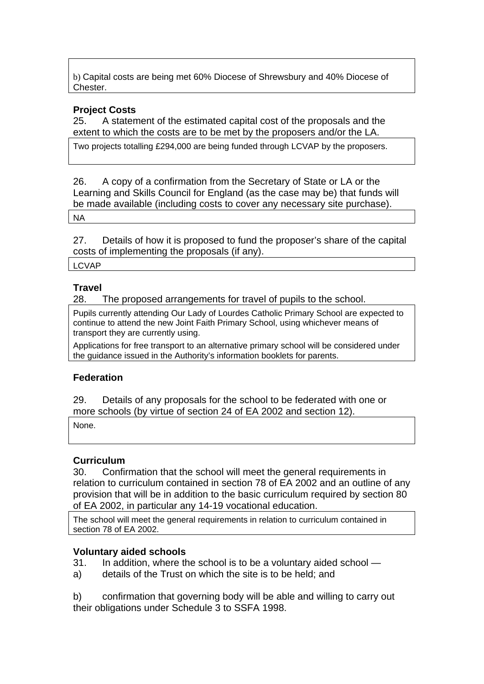b) Capital costs are being met 60% Diocese of Shrewsbury and 40% Diocese of Chester.

### **Project Costs**

25. A statement of the estimated capital cost of the proposals and the extent to which the costs are to be met by the proposers and/or the LA.

Two projects totalling £294,000 are being funded through LCVAP by the proposers.

26. A copy of a confirmation from the Secretary of State or LA or the Learning and Skills Council for England (as the case may be) that funds will be made available (including costs to cover any necessary site purchase).

NA

27. Details of how it is proposed to fund the proposer's share of the capital costs of implementing the proposals (if any).

LCVAP

#### **Travel**

28. The proposed arrangements for travel of pupils to the school.

Pupils currently attending Our Lady of Lourdes Catholic Primary School are expected to continue to attend the new Joint Faith Primary School, using whichever means of transport they are currently using.

Applications for free transport to an alternative primary school will be considered under the guidance issued in the Authority's information booklets for parents.

### **Federation**

29. Details of any proposals for the school to be federated with one or more schools (by virtue of section 24 of EA 2002 and section 12).

None.

### **Curriculum**

30. Confirmation that the school will meet the general requirements in relation to curriculum contained in section 78 of EA 2002 and an outline of any provision that will be in addition to the basic curriculum required by section 80 of EA 2002, in particular any 14-19 vocational education.

The school will meet the general requirements in relation to curriculum contained in section 78 of EA 2002.

### **Voluntary aided schools**

- 31. In addition, where the school is to be a voluntary aided school —
- a) details of the Trust on which the site is to be held; and

b) confirmation that governing body will be able and willing to carry out their obligations under Schedule 3 to SSFA 1998.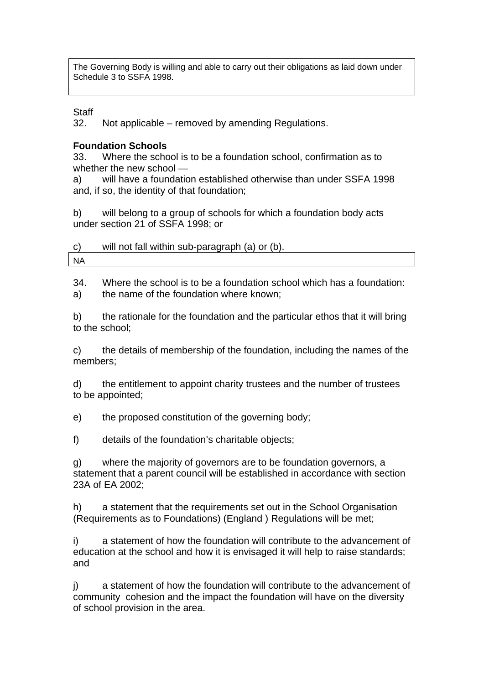The Governing Body is willing and able to carry out their obligations as laid down under Schedule 3 to SSFA 1998.

### **Staff**

32. Not applicable – removed by amending Regulations.

### **Foundation Schools**

33. Where the school is to be a foundation school, confirmation as to whether the new school —

a) will have a foundation established otherwise than under SSFA 1998 and, if so, the identity of that foundation;

b) will belong to a group of schools for which a foundation body acts under section 21 of SSFA 1998; or

c) will not fall within sub-paragraph (a) or (b). NA

34. Where the school is to be a foundation school which has a foundation: a) the name of the foundation where known;

b) the rationale for the foundation and the particular ethos that it will bring to the school;

c) the details of membership of the foundation, including the names of the members;

d) the entitlement to appoint charity trustees and the number of trustees to be appointed;

e) the proposed constitution of the governing body;

f) details of the foundation's charitable objects;

g) where the majority of governors are to be foundation governors, a statement that a parent council will be established in accordance with section 23A of EA 2002;

h) a statement that the requirements set out in the School Organisation (Requirements as to Foundations) (England ) Regulations will be met;

i) a statement of how the foundation will contribute to the advancement of education at the school and how it is envisaged it will help to raise standards; and

j) a statement of how the foundation will contribute to the advancement of community cohesion and the impact the foundation will have on the diversity of school provision in the area.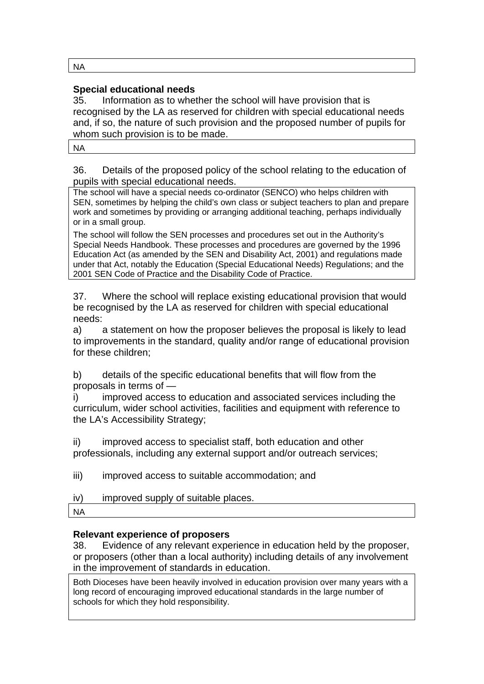NA

### **Special educational needs**

35. Information as to whether the school will have provision that is recognised by the LA as reserved for children with special educational needs and, if so, the nature of such provision and the proposed number of pupils for whom such provision is to be made.

NA

36. Details of the proposed policy of the school relating to the education of pupils with special educational needs.

The school will have a special needs co-ordinator (SENCO) who helps children with SEN, sometimes by helping the child's own class or subject teachers to plan and prepare work and sometimes by providing or arranging additional teaching, perhaps individually or in a small group.

The school will follow the SEN processes and procedures set out in the Authority's Special Needs Handbook. These processes and procedures are governed by the 1996 Education Act (as amended by the SEN and Disability Act, 2001) and regulations made under that Act, notably the Education (Special Educational Needs) Regulations; and the 2001 SEN Code of Practice and the Disability Code of Practice.

37. Where the school will replace existing educational provision that would be recognised by the LA as reserved for children with special educational needs:

a) a statement on how the proposer believes the proposal is likely to lead to improvements in the standard, quality and/or range of educational provision for these children;

b) details of the specific educational benefits that will flow from the proposals in terms of —

i) improved access to education and associated services including the curriculum, wider school activities, facilities and equipment with reference to the LA's Accessibility Strategy;

ii) improved access to specialist staff, both education and other professionals, including any external support and/or outreach services;

iii) improved access to suitable accommodation; and

| iv) |  |  | improved supply of suitable places. |  |
|-----|--|--|-------------------------------------|--|
|-----|--|--|-------------------------------------|--|

NA

### **Relevant experience of proposers**

38. Evidence of any relevant experience in education held by the proposer, or proposers (other than a local authority) including details of any involvement in the improvement of standards in education.

Both Dioceses have been heavily involved in education provision over many years with a long record of encouraging improved educational standards in the large number of schools for which they hold responsibility.